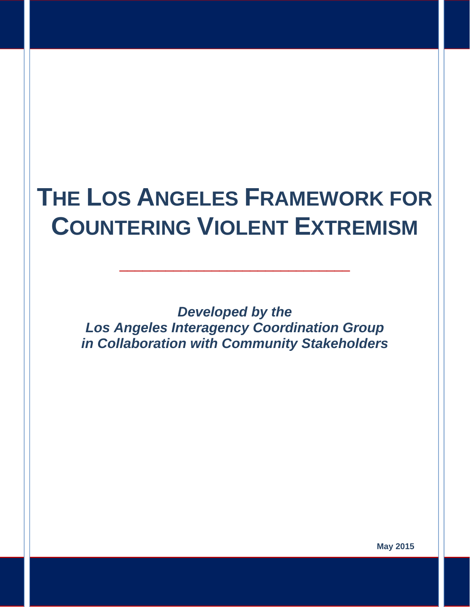# **THE LOS ANGELES FRAMEWORK FOR COUNTERING VIOLENT EXTREMISM**

\_\_\_\_\_\_\_\_\_\_\_\_\_\_\_\_\_\_\_\_\_\_\_\_\_\_\_\_\_\_

*Developed by the Los Angeles Interagency Coordination Group in Collaboration with Community Stakeholders* 

**May 2015**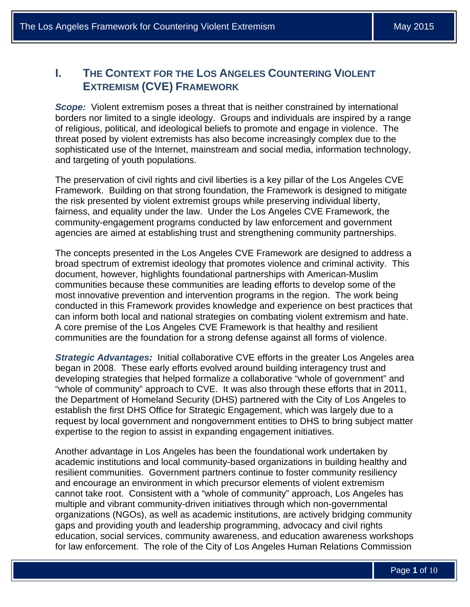# **I. THE CONTEXT FOR THE LOS ANGELES COUNTERING VIOLENT EXTREMISM (CVE) FRAMEWORK**

*Scope:* Violent extremism poses a threat that is neither constrained by international borders nor limited to a single ideology. Groups and individuals are inspired by a range of religious, political, and ideological beliefs to promote and engage in violence. The threat posed by violent extremists has also become increasingly complex due to the sophisticated use of the Internet, mainstream and social media, information technology, and targeting of youth populations.

The preservation of civil rights and civil liberties is a key pillar of the Los Angeles CVE Framework. Building on that strong foundation, the Framework is designed to mitigate the risk presented by violent extremist groups while preserving individual liberty, fairness, and equality under the law. Under the Los Angeles CVE Framework, the community-engagement programs conducted by law enforcement and government agencies are aimed at establishing trust and strengthening community partnerships.

The concepts presented in the Los Angeles CVE Framework are designed to address a broad spectrum of extremist ideology that promotes violence and criminal activity. This document, however, highlights foundational partnerships with American-Muslim communities because these communities are leading efforts to develop some of the most innovative prevention and intervention programs in the region. The work being conducted in this Framework provides knowledge and experience on best practices that can inform both local and national strategies on combating violent extremism and hate. A core premise of the Los Angeles CVE Framework is that healthy and resilient communities are the foundation for a strong defense against all forms of violence.

*Strategic Advantages:* Initial collaborative CVE efforts in the greater Los Angeles area began in 2008. These early efforts evolved around building interagency trust and developing strategies that helped formalize a collaborative "whole of government" and "whole of community" approach to CVE. It was also through these efforts that in 2011, the Department of Homeland Security (DHS) partnered with the City of Los Angeles to establish the first DHS Office for Strategic Engagement, which was largely due to a request by local government and nongovernment entities to DHS to bring subject matter expertise to the region to assist in expanding engagement initiatives.

Another advantage in Los Angeles has been the foundational work undertaken by academic institutions and local community-based organizations in building healthy and resilient communities. Government partners continue to foster community resiliency and encourage an environment in which precursor elements of violent extremism cannot take root. Consistent with a "whole of community" approach, Los Angeles has multiple and vibrant community-driven initiatives through which non-governmental organizations (NGOs), as well as academic institutions, are actively bridging community gaps and providing youth and leadership programming, advocacy and civil rights education, social services, community awareness, and education awareness workshops for law enforcement. The role of the City of Los Angeles Human Relations Commission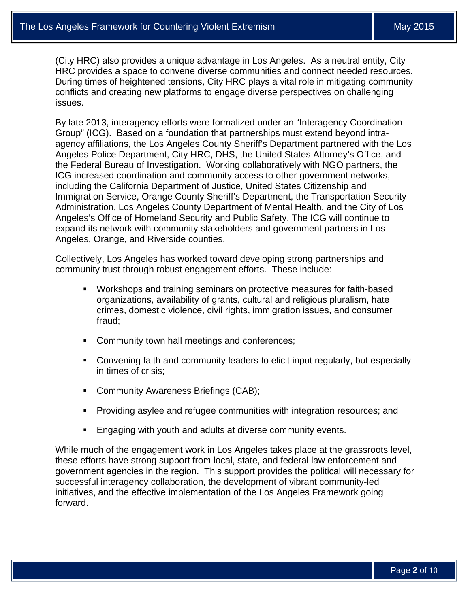(City HRC) also provides a unique advantage in Los Angeles. As a neutral entity, City HRC provides a space to convene diverse communities and connect needed resources. During times of heightened tensions, City HRC plays a vital role in mitigating community conflicts and creating new platforms to engage diverse perspectives on challenging issues.

By late 2013, interagency efforts were formalized under an "Interagency Coordination Group" (ICG). Based on a foundation that partnerships must extend beyond intraagency affiliations, the Los Angeles County Sheriff's Department partnered with the Los Angeles Police Department, City HRC, DHS, the United States Attorney's Office, and the Federal Bureau of Investigation. Working collaboratively with NGO partners, the ICG increased coordination and community access to other government networks, including the California Department of Justice, United States Citizenship and Immigration Service, Orange County Sheriff's Department, the Transportation Security Administration, Los Angeles County Department of Mental Health, and the City of Los Angeles's Office of Homeland Security and Public Safety. The ICG will continue to expand its network with community stakeholders and government partners in Los Angeles, Orange, and Riverside counties.

Collectively, Los Angeles has worked toward developing strong partnerships and community trust through robust engagement efforts. These include:

- Workshops and training seminars on protective measures for faith-based organizations, availability of grants, cultural and religious pluralism, hate crimes, domestic violence, civil rights, immigration issues, and consumer fraud;
- **Community town hall meetings and conferences;**
- Convening faith and community leaders to elicit input regularly, but especially in times of crisis;
- **Community Awareness Briefings (CAB);**
- Providing asylee and refugee communities with integration resources; and
- **Engaging with youth and adults at diverse community events.**

While much of the engagement work in Los Angeles takes place at the grassroots level, these efforts have strong support from local, state, and federal law enforcement and government agencies in the region. This support provides the political will necessary for successful interagency collaboration, the development of vibrant community-led initiatives, and the effective implementation of the Los Angeles Framework going forward.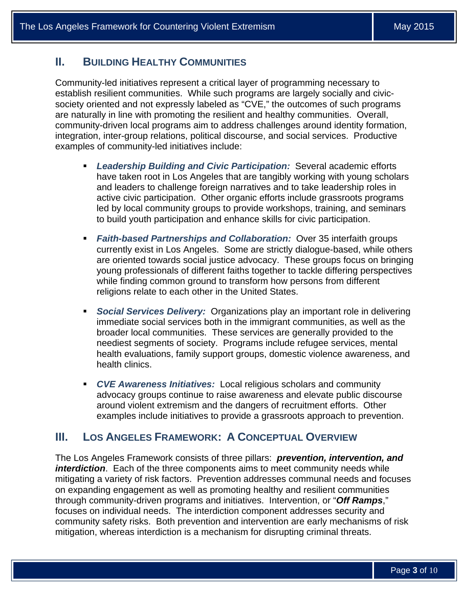## **II. BUILDING HEALTHY COMMUNITIES**

 examples of community-led initiatives include: Community-led initiatives represent a critical layer of programming necessary to establish resilient communities. While such programs are largely socially and civicsociety oriented and not expressly labeled as "CVE," the outcomes of such programs are naturally in line with promoting the resilient and healthy communities. Overall, community-driven local programs aim to address challenges around identity formation, integration, inter-group relations, political discourse, and social services. Productive

- *Leadership Building and Civic Participation:* Several academic efforts have taken root in Los Angeles that are tangibly working with young scholars and leaders to challenge foreign narratives and to take leadership roles in active civic participation. Other organic efforts include grassroots programs led by local community groups to provide workshops, training, and seminars to build youth participation and enhance skills for civic participation.
- *Faith-based Partnerships and Collaboration:* Over 35 interfaith groups currently exist in Los Angeles. Some are strictly dialogue-based, while others are oriented towards social justice advocacy. These groups focus on bringing young professionals of different faiths together to tackle differing perspectives while finding common ground to transform how persons from different religions relate to each other in the United States.
- *Social Services Delivery:* Organizations play an important role in delivering immediate social services both in the immigrant communities, as well as the broader local communities. These services are generally provided to the neediest segments of society. Programs include refugee services, mental health evaluations, family support groups, domestic violence awareness, and health clinics.
- *CVE Awareness Initiatives:* Local religious scholars and community advocacy groups continue to raise awareness and elevate public discourse around violent extremism and the dangers of recruitment efforts. Other examples include initiatives to provide a grassroots approach to prevention.

## **III. LOS ANGELES FRAMEWORK: A CONCEPTUAL OVERVIEW**

The Los Angeles Framework consists of three pillars: *prevention, intervention, and interdiction*. Each of the three components aims to meet community needs while mitigating a variety of risk factors. Prevention addresses communal needs and focuses on expanding engagement as well as promoting healthy and resilient communities through community-driven programs and initiatives. Intervention, or "*Off Ramps*," focuses on individual needs. The interdiction component addresses security and community safety risks. Both prevention and intervention are early mechanisms of risk mitigation, whereas interdiction is a mechanism for disrupting criminal threats.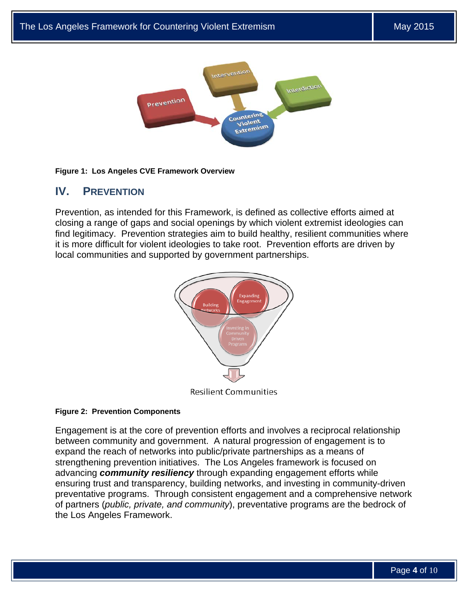

#### **Figure 1: Los Angeles CVE Framework Overview**

## **IV. PREVENTION**

Prevention, as intended for this Framework, is defined as collective efforts aimed at closing a range of gaps and social openings by which violent extremist ideologies can find legitimacy. Prevention strategies aim to build healthy, resilient communities where it is more difficult for violent ideologies to take root. Prevention efforts are driven by local communities and supported by government partnerships.



#### **Figure 2: Prevention Components**

Engagement is at the core of prevention efforts and involves a reciprocal relationship between community and government. A natural progression of engagement is to expand the reach of networks into public/private partnerships as a means of strengthening prevention initiatives. The Los Angeles framework is focused on advancing *community resiliency* through expanding engagement efforts while ensuring trust and transparency, building networks, and investing in community-driven preventative programs. Through consistent engagement and a comprehensive network of partners (*public, private, and community*), preventative programs are the bedrock of the Los Angeles Framework.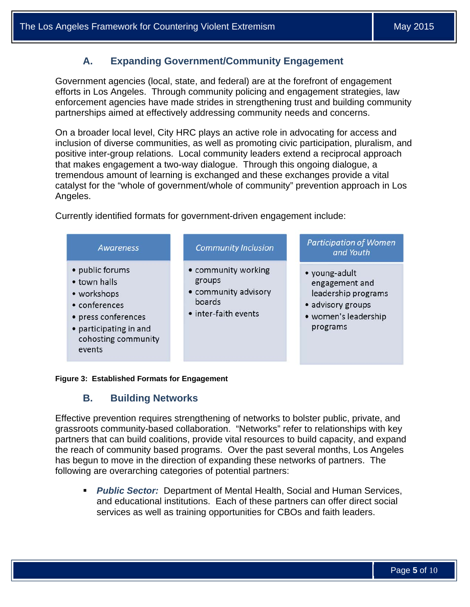## **A. Expanding Government/Community Engagement**

Government agencies (local, state, and federal) are at the forefront of engagement efforts in Los Angeles. Through community policing and engagement strategies, law enforcement agencies have made strides in strengthening trust and building community partnerships aimed at effectively addressing community needs and concerns.

On a broader local level, City HRC plays an active role in advocating for access and inclusion of diverse communities, as well as promoting civic participation, pluralism, and positive inter-group relations. Local community leaders extend a reciprocal approach that makes engagement a two-way dialogue. Through this ongoing dialogue, a tremendous amount of learning is exchanged and these exchanges provide a vital catalyst for the "whole of government/whole of community" prevention approach in Los Angeles.

Currently identified formats for government-driven engagement include:



#### **Figure 3: Established Formats for Engagement**

### **B. Building Networks**

Effective prevention requires strengthening of networks to bolster public, private, and grassroots community-based collaboration. "Networks" refer to relationships with key partners that can build coalitions, provide vital resources to build capacity, and expand the reach of community based programs. Over the past several months, Los Angeles has begun to move in the direction of expanding these networks of partners. The following are overarching categories of potential partners:

 *Public Sector:* Department of Mental Health, Social and Human Services, and educational institutions. Each of these partners can offer direct social services as well as training opportunities for CBOs and faith leaders.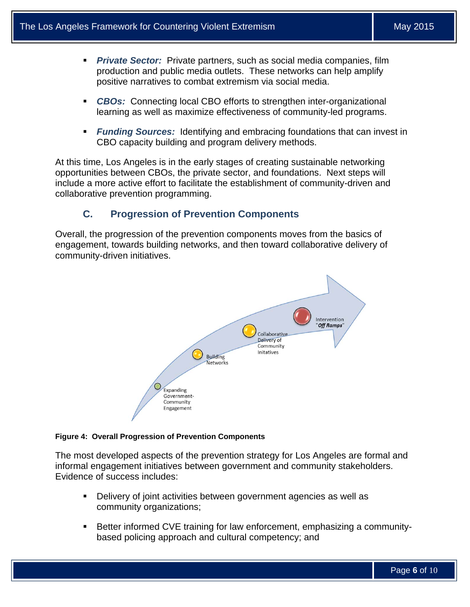- *Private Sector:* Private partners, such as social media companies, film production and public media outlets. These networks can help amplify positive narratives to combat extremism via social media.
- *CBOs:* Connecting local CBO efforts to strengthen inter-organizational learning as well as maximize effectiveness of community-led programs.
- *Funding Sources:* Identifying and embracing foundations that can invest in CBO capacity building and program delivery methods.

At this time, Los Angeles is in the early stages of creating sustainable networking opportunities between CBOs, the private sector, and foundations. Next steps will include a more active effort to facilitate the establishment of community-driven and collaborative prevention programming.

## **C. Progression of Prevention Components**

Overall, the progression of the prevention components moves from the basics of engagement, towards building networks, and then toward collaborative delivery of community-driven initiatives.



#### **Figure 4: Overall Progression of Prevention Components**

The most developed aspects of the prevention strategy for Los Angeles are formal and informal engagement initiatives between government and community stakeholders. Evidence of success includes:

- Delivery of joint activities between government agencies as well as community organizations;
- Better informed CVE training for law enforcement, emphasizing a communitybased policing approach and cultural competency; and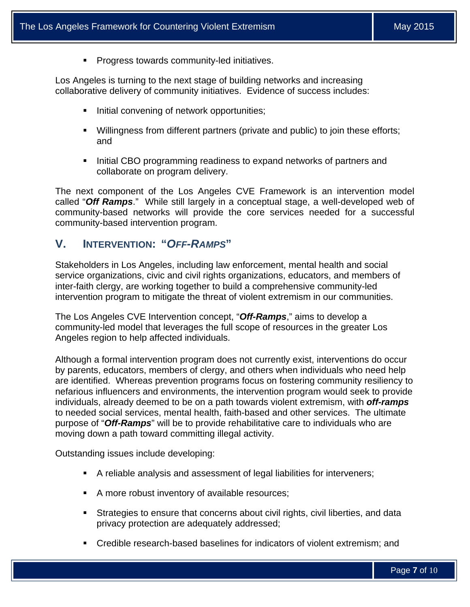**Progress towards community-led initiatives.** 

Los Angeles is turning to the next stage of building networks and increasing collaborative delivery of community initiatives. Evidence of success includes:

- Initial convening of network opportunities;
- Willingness from different partners (private and public) to join these efforts; and
- Initial CBO programming readiness to expand networks of partners and collaborate on program delivery.

The next component of the Los Angeles CVE Framework is an intervention model called "*Off Ramps*." While still largely in a conceptual stage, a well-developed web of community-based networks will provide the core services needed for a successful community-based intervention program.

## **V. INTERVENTION: "***OFF-RAMPS***"**

Stakeholders in Los Angeles, including law enforcement, mental health and social service organizations, civic and civil rights organizations, educators, and members of inter-faith clergy, are working together to build a comprehensive community-led intervention program to mitigate the threat of violent extremism in our communities.

The Los Angeles CVE Intervention concept, "*Off-Ramps*," aims to develop a community-led model that leverages the full scope of resources in the greater Los Angeles region to help affected individuals.

Although a formal intervention program does not currently exist, interventions do occur by parents, educators, members of clergy, and others when individuals who need help are identified. Whereas prevention programs focus on fostering community resiliency to nefarious influencers and environments, the intervention program would seek to provide individuals, already deemed to be on a path towards violent extremism, with *off-ramps*  to needed social services, mental health, faith-based and other services. The ultimate purpose of "*Off-Ramps*" will be to provide rehabilitative care to individuals who are moving down a path toward committing illegal activity.

Outstanding issues include developing:

- A reliable analysis and assessment of legal liabilities for interveners;
- A more robust inventory of available resources;
- Strategies to ensure that concerns about civil rights, civil liberties, and data privacy protection are adequately addressed;
- Credible research-based baselines for indicators of violent extremism; and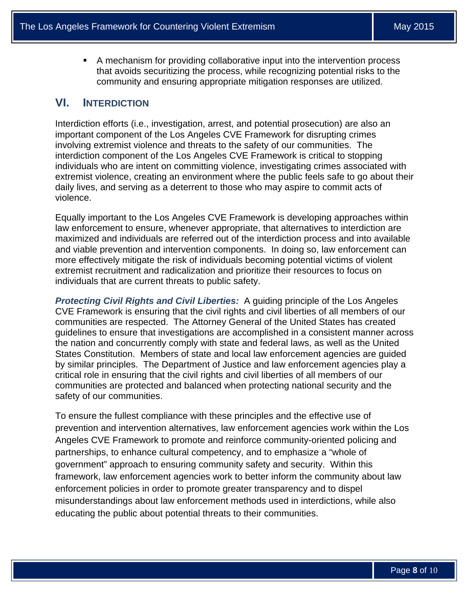A mechanism for providing collaborative input into the intervention process that avoids securitizing the process, while recognizing potential risks to the community and ensuring appropriate mitigation responses are utilized.

## **VI. INTERDICTION**

Interdiction efforts (i.e., investigation, arrest, and potential prosecution) are also an important component of the Los Angeles CVE Framework for disrupting crimes involving extremist violence and threats to the safety of our communities. The interdiction component of the Los Angeles CVE Framework is critical to stopping individuals who are intent on committing violence, investigating crimes associated with extremist violence, creating an environment where the public feels safe to go about their daily lives, and serving as a deterrent to those who may aspire to commit acts of violence.

Equally important to the Los Angeles CVE Framework is developing approaches within law enforcement to ensure, whenever appropriate, that alternatives to interdiction are maximized and individuals are referred out of the interdiction process and into available and viable prevention and intervention components. In doing so, law enforcement can more effectively mitigate the risk of individuals becoming potential victims of violent extremist recruitment and radicalization and prioritize their resources to focus on individuals that are current threats to public safety.

 *Protecting Civil Rights and Civil Liberties:* A guiding principle of the Los Angeles CVE Framework is ensuring that the civil rights and civil liberties of all members of our communities are respected. The Attorney General of the United States has created guidelines to ensure that investigations are accomplished in a consistent manner across the nation and concurrently comply with state and federal laws, as well as the United States Constitution. Members of state and local law enforcement agencies are guided by similar principles. The Department of Justice and law enforcement agencies play a critical role in ensuring that the civil rights and civil liberties of all members of our communities are protected and balanced when protecting national security and the safety of our communities.

To ensure the fullest compliance with these principles and the effective use of prevention and intervention alternatives, law enforcement agencies work within the Los Angeles CVE Framework to promote and reinforce community-oriented policing and partnerships, to enhance cultural competency, and to emphasize a "whole of government" approach to ensuring community safety and security. Within this framework, law enforcement agencies work to better inform the community about law enforcement policies in order to promote greater transparency and to dispel misunderstandings about law enforcement methods used in interdictions, while also educating the public about potential threats to their communities.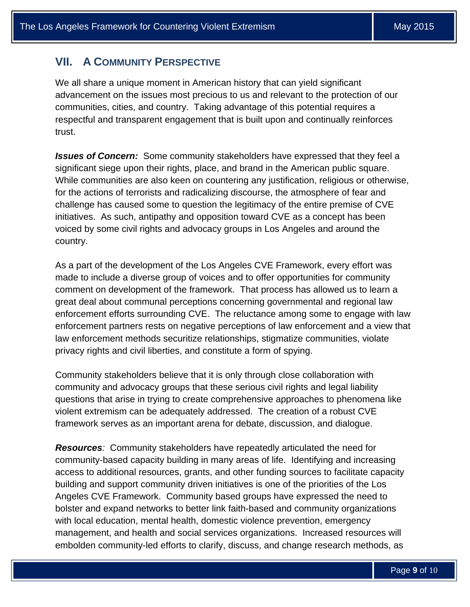## **VII. A COMMUNITY PERSPECTIVE**

We all share a unique moment in American history that can yield significant advancement on the issues most precious to us and relevant to the protection of our communities, cities, and country. Taking advantage of this potential requires a respectful and transparent engagement that is built upon and continually reinforces trust.

*Issues of Concern:* Some community stakeholders have expressed that they feel a significant siege upon their rights, place, and brand in the American public square. While communities are also keen on countering any justification, religious or otherwise, for the actions of terrorists and radicalizing discourse, the atmosphere of fear and challenge has caused some to question the legitimacy of the entire premise of CVE initiatives. As such, antipathy and opposition toward CVE as a concept has been voiced by some civil rights and advocacy groups in Los Angeles and around the country.

As a part of the development of the Los Angeles CVE Framework, every effort was made to include a diverse group of voices and to offer opportunities for community comment on development of the framework. That process has allowed us to learn a great deal about communal perceptions concerning governmental and regional law enforcement efforts surrounding CVE. The reluctance among some to engage with law enforcement partners rests on negative perceptions of law enforcement and a view that law enforcement methods securitize relationships, stigmatize communities, violate privacy rights and civil liberties, and constitute a form of spying.

Community stakeholders believe that it is only through close collaboration with community and advocacy groups that these serious civil rights and legal liability questions that arise in trying to create comprehensive approaches to phenomena like violent extremism can be adequately addressed. The creation of a robust CVE framework serves as an important arena for debate, discussion, and dialogue.

*Resources:* Community stakeholders have repeatedly articulated the need for community-based capacity building in many areas of life. Identifying and increasing access to additional resources, grants, and other funding sources to facilitate capacity building and support community driven initiatives is one of the priorities of the Los Angeles CVE Framework. Community based groups have expressed the need to bolster and expand networks to better link faith-based and community organizations with local education, mental health, domestic violence prevention, emergency management, and health and social services organizations. Increased resources will embolden community-led efforts to clarify, discuss, and change research methods, as